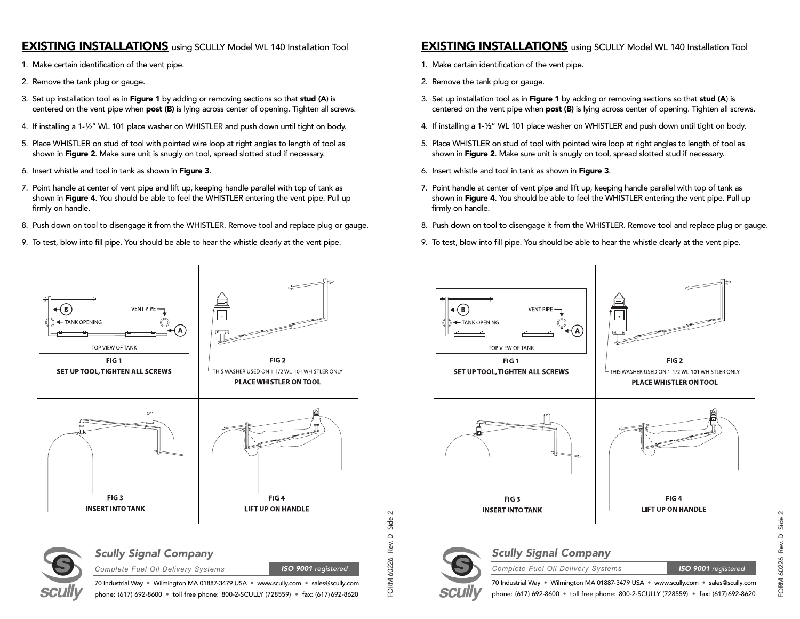#### **EXISTING INSTALLATIONS** using SCULLY Model WL 140 Installation Tool

- 1. Make certain identification of the vent pipe.
- 2. Remove the tank plug or gauge.
- 3. Set up installation tool as in Figure 1 by adding or removing sections so that stud (A) is centered on the vent pipe when post (B) is lying across center of opening. Tighten all screws.
- 4. If installing a 1-½" WL 101 place washer on WHISTLER and push down until tight on body.
- 5. Place WHISTLER on stud of tool with pointed wire loop at right angles to length of tool as shown in Figure 2. Make sure unit is snugly on tool, spread slotted stud if necessary.
- 6. Insert whistle and tool in tank as shown in Figure 3.
- 7. Point handle at center of vent pipe and lift up, keeping handle parallel with top of tank as shown in Figure 4. You should be able to feel the WHISTLER entering the vent pipe. Pull up firmly on handle.
- 8. Push down on tool to disengage it from the WHISTLER. Remove tool and replace plug or gauge.
- 9. To test, blow into fill pipe. You should be able to hear the whistle clearly at the vent pipe.

#### **EXISTING INSTALLATIONS** using SCULLY Model WL 140 Installation Tool

- 1. Make certain identification of the vent pipe.
- 2. Remove the tank plug or gauge.
- 3. Set up installation tool as in Figure 1 by adding or removing sections so that stud (A) is centered on the vent pipe when **post (B)** is lying across center of opening. Tighten all screws.
- 4. If installing a 1-½" WL 101 place washer on WHISTLER and push down until tight on body.
- 5. Place WHISTLER on stud of tool with pointed wire loop at right angles to length of tool as shown in Figure 2. Make sure unit is snugly on tool, spread slotted stud if necessary.
- 6. Insert whistle and tool in tank as shown in Figure 3.
- 7. Point handle at center of vent pipe and lift up, keeping handle parallel with top of tank as shown in Figure 4. You should be able to feel the WHISTLER entering the vent pipe. Pull up firmly on handle.
- 8. Push down on tool to disengage it from the WHISTLER. Remove tool and replace plug or gauge.
- 9. To test, blow into fill pipe. You should be able to hear the whistle clearly at the vent pipe.